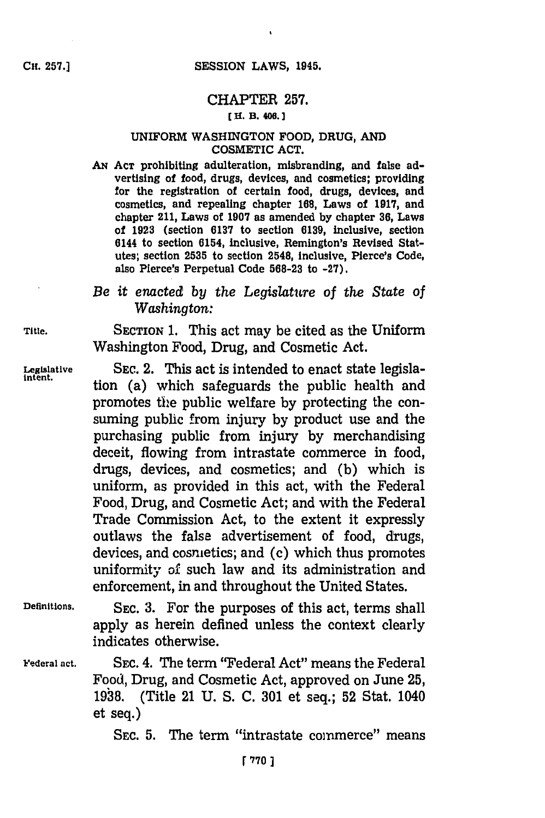# CHAPTER **257.**

#### **CH. B. 400. 1**

#### UNIFORM WASHINGTON FOOD, **DRUG, AND** COSMETIC **ACT.**

**AN ACT** prohibiting adulteration, misbranding, and false advertising of food, drugs, devices, and cosmetics; providing for the registration of certain food, drugs, devices, and cosmetics, and repealing chapter **168,** Laws of **1917,** and chapter 211, Laws of **1907** as amended **by** chapter **36,** Laws of **1923** (section **6137** to section **6139,** inclusive, section 6144 to section 6154, inclusive, Remington's Revised Statutes; section **2535** to section 2548, Inclusive, Pierce's Code, also Pierce's Perpetual Code **568-23** to **-27).**

# *Be it enacted by the Legislature of the State of Washington:*

**Title.** SECTION **1.** This act may be cited as the Uniform Washington Food, Drug, and Cosmetic Act.

**1.41 Legislative** SEC. 2. This act is intended to enact state legisla-<br> **1711** tion (a) which safeguards the public health and promotes the public welfare **by** protecting the consuming public from injury **by** product use and the purchasing public from injury **by** merchandising deceit, flowing from intrastate commerce in food, drugs, devices, and cosmetics; and **(b)** which is uniform, as provided in this act, with the Federal Food, Drug, and Cosmetic Act; and with the Federal Trade Commission Act, to the extent it expressly outlaws the false advertisement of food, drugs, devices, and cosmetics; and (c) which thus promotes uniformity of such law and its administration and enforcement, in and throughout the United States.

**Definitions.** SEC. **3.** For the purposes of this act, terms shall apply as herein defined unless the context clearly indicates otherwise.

Federal act. **SEC. 4. The term "Federal Act" means the Federal** Food, Drug, and Cosmetic Act, approved on June **25, 1938.** (Title 21 **U. S. C. 301** et seq.; **52** Stat. 1040 et seq.)

SEC. **5.** The term "intrastate commerce" means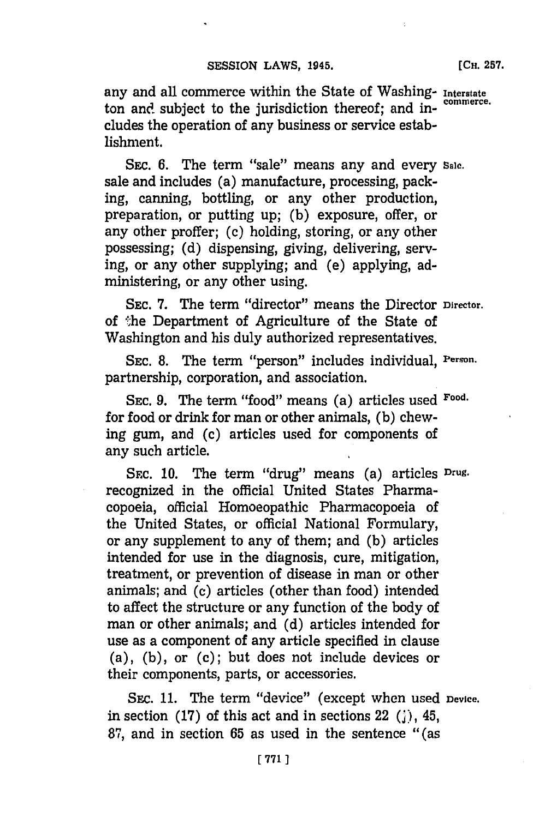any and all commerce within the State of Washing- **Interstate** ton and subject to the jurisdiction thereof; and includes the operation of any business or service establishment.

SEC. 6. The term "sale" means any and every sale. sale and includes (a) manufacture, processing, packing, canning, bottling, or any other production, preparation, or putting up; **(b)** exposure, offer, or any other proffer; **(c)** holding, storing, or any other possessing; **(d)** dispensing, giving, delivering, serving, or any other supplying; and (e) applying, administering, or any other using.

SEC. **7.** The term "director" means the Director **Director.** of the Department of Agriculture of the State of Washington and his duly authorized representatives.

**SEC. 8.** The term "person" includes individual, **Person.** partnership, corporation, and association.

**SEC. 9.** The term "food" means (a) articles used **Food.** for food or drink for man or other animals, (b) chewing gum, and (c) articles used for components of any such article.

SEC. 10. The term "drug" means (a) articles Drug. recognized in the official United States Pharmacopoeia, official Homoeopathic Pharmacopoeia of the United States, or official National Formulary, or any supplement to any of them; and **(b)** articles intended for use in the diagnosis, cure, mitigation, treatment, or prevention of disease in man or other animals; and **(c)** articles (other than food) intended to affect the structure or any function of the body of man or other animals; and (d) articles intended for use as a component of any article specified in clause (a), **(b),** or (c); but does not include devices or their components, parts, or accessories.

SEC. **11.** The term "device" (except when used **Device.** in section **(17)** of this act and in sections 22 **(;),** 45, **87,** and in section **65** as used in the sentence "(as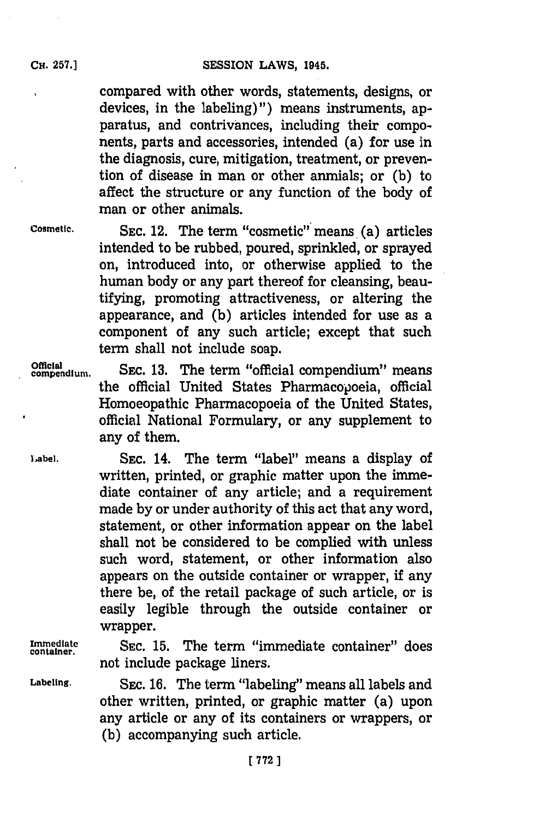compared with other words, statements, designs, or devices, in the labeling)") means instruments, apparatus, and contrivances, including their components, parts and accessories, intended (a) for use in the diagnosis, cure, mitigation, treatment, or prevention of disease in man or other anmials; or **(b)** to affect the structure or any function of the body of man or other animals.

**Cosmetic. SEC.** 12. The term "cosmetic"' means. (a) articles intended to be rubbed, poured, sprinkled, or sprayed on, introduced into, or otherwise applied to the human body or any part thereof for cleansing, beautifying, promoting attractiveness, or altering the appearance, and **(b)** articles intended for use as a component of any such article; except that such term shall not include soap.

**compendium.** SEC. **13.** The term "official compendium" means the official United States Pharmacopoeia, official Homoeopathic Pharmacopoeia of the United States, official National Formulary, or any supplement to any of them.

Label. **SEC. 14.** The term "label" means a display of written, printed, or graphic matter upon the immediate container of any article; and a requirement made **by** or under authority of this act that any word, statement, or other information appear on the label shall not be considered to be complied with unless such word, statement, or other information also appears on the outside container or wrapper, if any there be, of the retail package of such article, or is easily legible through the outside container or wrapper.

**Immediate SEC. 15.** The term "immediate container" does **container.** not include package liners.

**Labeling.** SEC. **16.** The term "labeling" means all labels and other written, printed, or graphic matter (a) upon any article or any of its containers or wrappers, or **(b)** accompanying such article.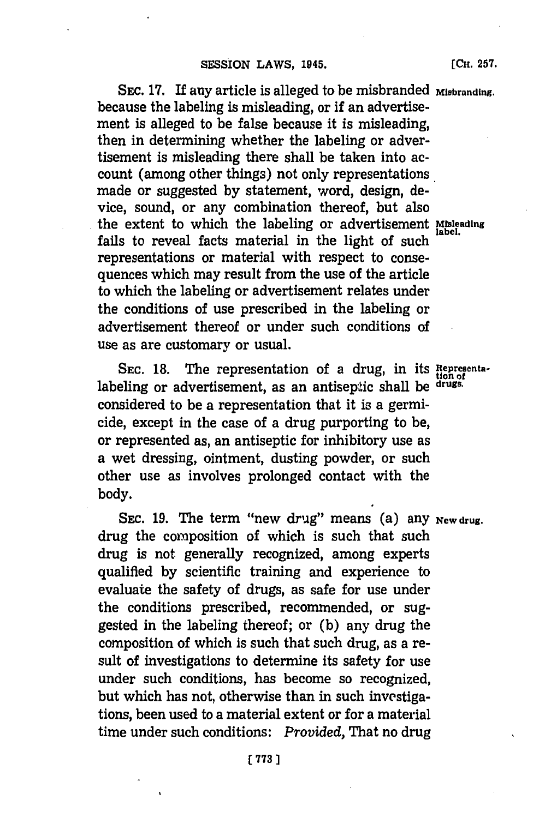SEC. 17. If any article is alleged to be misbranded Misbranding. because the labeling is misleading, or if an advertisement is alleged to be false because it is misleading, then in determining whether the labeling or advertisement is misleading there shall be taken into account (among other things) not only representations made or suggested **by** statement, word, design, device, sound, or any combination thereof, but also the extent to which the labeling or advertisement **Misleading** fails to reveal facts material in the light of such representations or material with respect to consequences which may result from the use of the article to which the labeling or advertisement relates under the conditions of use prescribed in the labeling or advertisement thereof or under such conditions of use as are customary or usual.

SEC. 18. The representation of a drug, in its Representalabeling or advertisement, as an antiseptic shall be **drugs.** considered to be a representation that it is a germicide, except in the case of a drug purporting to be, or represented as, an antiseptic for inhibitory use as a wet dressing, ointment, dusting powder, or such other use as involves prolonged contact with the body.

SEC. 19. The term "new drug" means (a) any **New drug.** drug the composition of which is such that such drug is not generally recognized, among experts qualified **by** scientific training and experience to evaluate the safety of drugs, as safe for use under the conditions prescribed, recommended, or suggested in the labeling thereof; or **(b)** any drug the composition of which is such that such drug, as a result of investigations to determine its safety for use under such conditions, has become so recognized, but which has not, otherwise than in such investigations, been used to a material extent or for a material time under such conditions: *Provided,* That no drug

**[CH. 257.**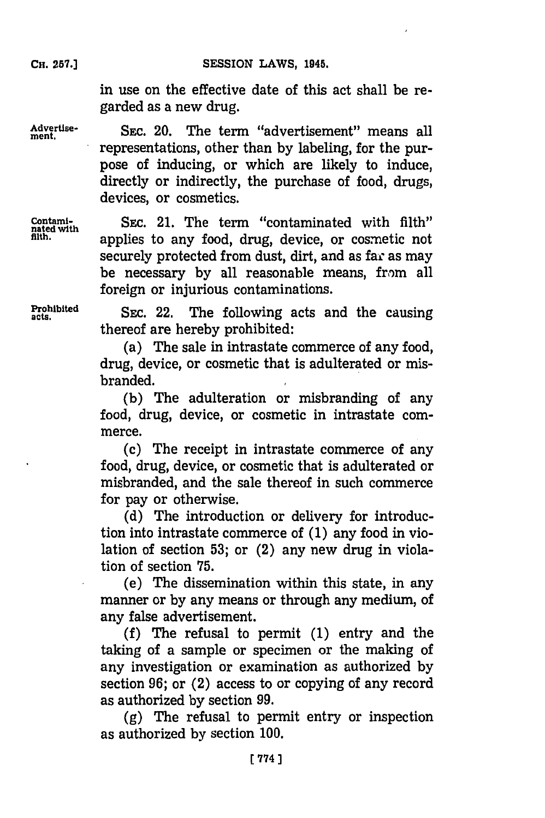**CH. 257.]**

in use on the effective date of this act shall be regarded as a new drug.

Advertise-<br>ment. SEC. 20. The term "advertisemen representations, other than **by** labeling, for the purpose of inducing, or which are likely to induce, directly or indirectly, the purchase of food, drugs, devices, or cosmetics.

Contami-<br>
rated with SEC. 21. The term "contaminated with filth"<br>
flith.<br>
sinh,<br>
sinh,<br>
complies to any food drug device or complies not applies to any food, drug, device, or cosmetic not securely protected from dust, dirt, and as far as may be necessary **by** all reasonable means, from all foreign or injurious contaminations.

**Prohibited** SEC. 22. The following acts and the causing thereof are hereby prohibited:

> (a) The sale in intrastate commerce of any food, drug, device, or cosmetic that is adulterated or misbranded.

> **(b)** The adulteration or misbranding of any food, drug, device, or cosmetic in intrastate commerce.

> (c) The receipt in intrastate commerce of any food, drug, device, or cosmetic that is adulterated or misbranded, and the sale thereof in such commerce for pay or otherwise.

> **(d)** The introduction or delivery for introduction into intrastate commerce of **(1)** any food in violation of section **53;** or (2) any new drug in violation of section **75.**

> (e) The dissemination within this state, in any manner or **by** any means or through any medium, of any false advertisement.

> **(f)** The refusal to permit **(1)** entry and the taking of a sample or specimen or the making of any investigation or examination as authorized **by** section **96;** or (2) access to or copying of any record as authorized **by** section **99.**

> **(g)** The refusal to permit entry or inspection as authorized **by** section **100.**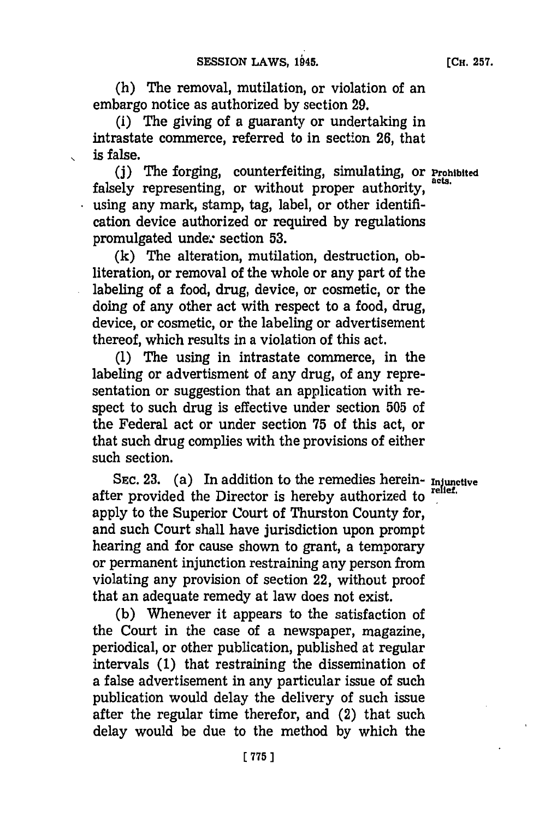(h) The removal, mutilation, or violation of an embargo notice as authorized **by** section **29.**

(i) The giving of a guaranty or undertaking in intrastate commerce, referred to in section **26,** that is false.

**(j)** The forging, counterfeiting, simulating, or **Prohibited** falsely representing, or without proper authority, using any mark, stamp, tag, label, or other identification device authorized or required **by** regulations promulgated undez section **53.**

**(k)** The alteration, mutilation, destruction, obliteration, or removal of the whole or any part of the labeling of a food, drug, device, or cosmetic, or the doing of any other act with respect to a food, drug, device, or cosmetic, or the labeling or advertisement thereof, which results in a violation of this act.

**(1)** The using in intrastate commerce, in the labeling or advertisment of any drug, of any representation or suggestion that an application with respect to such drug is effective under section **505** of the Federal act or under section **75** of this act, or that such drug complies with the provisions of either such section.

SEC. 23. (a) In addition to the remedies herein- **Injunctive** after provided the Director is hereby authorized to apply to the Superior Court of Thurston County for, and such Court shall have jurisdiction upon prompt hearing and for cause shown to grant, a temporary or permanent injunction restraining any person from violating any provision of section 22, without proof that an adequate remedy at law does not exist.

**(b)** Whenever it appears to the satisfaction of the Court in the case of a newspaper, magazine, periodical, or other publication, published at regular intervals **(1)** that restraining the dissemination of a false advertisement in any particular issue of such publication would delay the delivery of such issue after the regular time therefor, and (2) that such delay would be due to the method **by** which the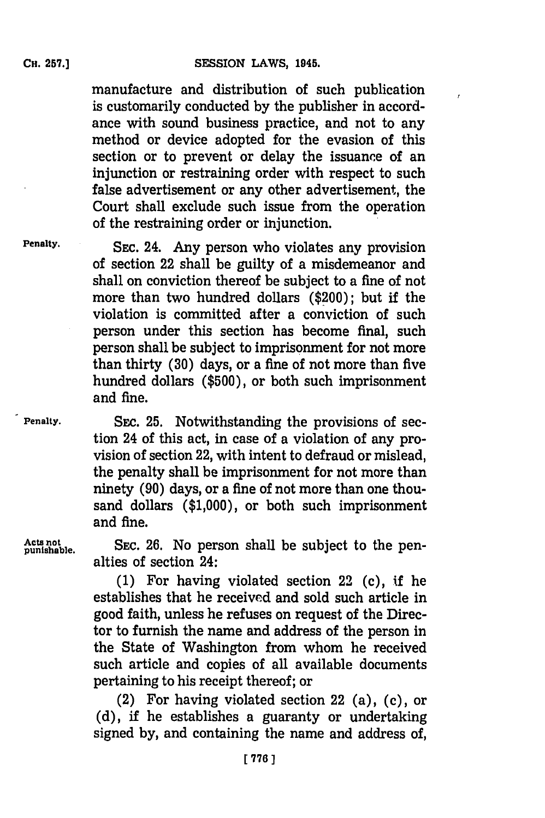manufacture and distribution of such publication is customarily conducted **by** the publisher in accordance with sound business practice, and not to any method or device adopted for the evasion of this section or to prevent or delay the issuance of an injunction or restraining order with respect to such false advertisement or any other advertisement, the Court shall exclude such issue from the operation of the restraining order or injunction.

**Penalty.** SEC. 24. Any person who violates any provision of section 22 shall be guilty of a misdemeanor and shall on conviction thereof be subject to a fine of not more than two hundred dollars (\$200); but if the violation is committed after a conviction of such person under this section has become final, such person shall be subject to imprisonment for not more than thirty **(30)** days, or a fine of not more than five hundred dollars **(\$500),** or both such imprisonment and fine.

Penalty. **SEC. 25. Notwithstanding the provisions of sec**tion 24 of this act, in case of a violation of any provision of section 22, with intent to defraud or mislead, the penalty shall be imprisonment for not more than ninety **(90)** days, or a fine of not more than one thousand dollars **(\$1,000),** or both such imprisonment and fine.

Acts not **EXEC.** 26. No person shall be subject to the penalties of section 24:

> **(1)** For having violated section 22 (c), if he establishes that he received and sold such article in good faith, unless he refuses on request of the Director to furnish the name and address of the person in the State of Washington from whom he received such article and copies of all available documents pertaining to his receipt thereof; or

> (2) For having violated section 22 (a), (c), or **(d),** if he establishes a guaranty or undertaking signed **by,** and containing the name and address of,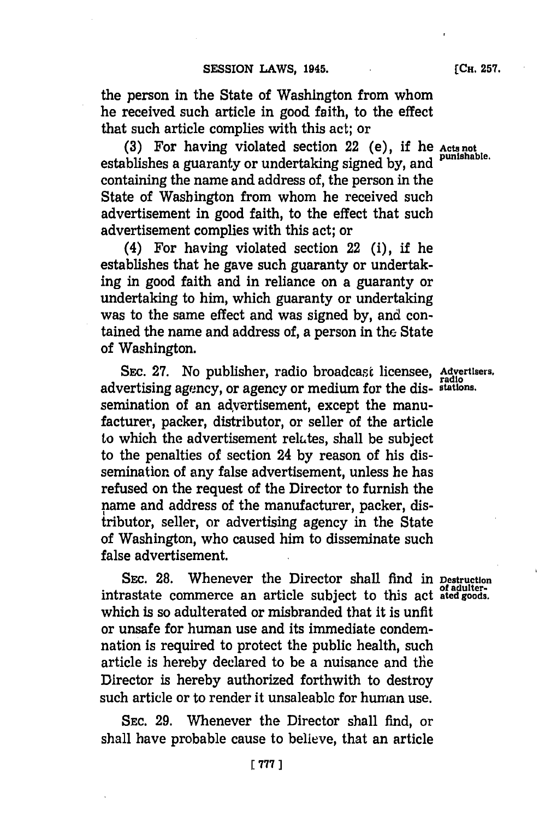the person in the State of Washington from whom he received such article in good faith, to the effect that such article complies with this act; or

**(3)** For having violated section 22 (e), if he **Acts not** establishes a guaranty or undertaking signed by, and containing the name and address of, the person in the State of Washington from whom he received such advertisement in good faith, to the effect that such advertisement complies with this act; or

(4) For having violated section 22 (i), if he establishes that he gave such guaranty or undertaking in good faith and in reliance on a guaranty or undertaking to him, which guaranty or undertaking was to the same effect and was signed **by,** and contained the name and address of, a person in the State of Washington.

SEC. **27.** No publisher, radio broadcast licensee, **Advertisers, radio** advertising agency, or agency or medium for the dis- **stations.** semination of an advertisement, except the manufacturer, packer, distributor, or seller of the article to which the advertisement relates, shall be subject to the penalties of section 24 **by** reason of his dissemination of any false advertisement, unless he has refused on the request of the Director to furnish the name and address of the manufacturer, packer, distributor, seller, or advertising agency in the State of Washington, who caused him to disseminate such false advertisement.

SEC. 28. Whenever the Director shall find in **Destruction of adulter.** intrastate commerce an article subject to this act **ated goods.** which is so adulterated or misbranded that it is unfit or unsafe for human use and its immediate condemnation is required to protect the public health, such article is hereby declared to be a nuisance and the Director is hereby authorized forthwith to destroy such article or to render it unsaleablo for human use.

**SEC. 29.** Whenever the Director shall find, or shall have probable cause to believe, that an article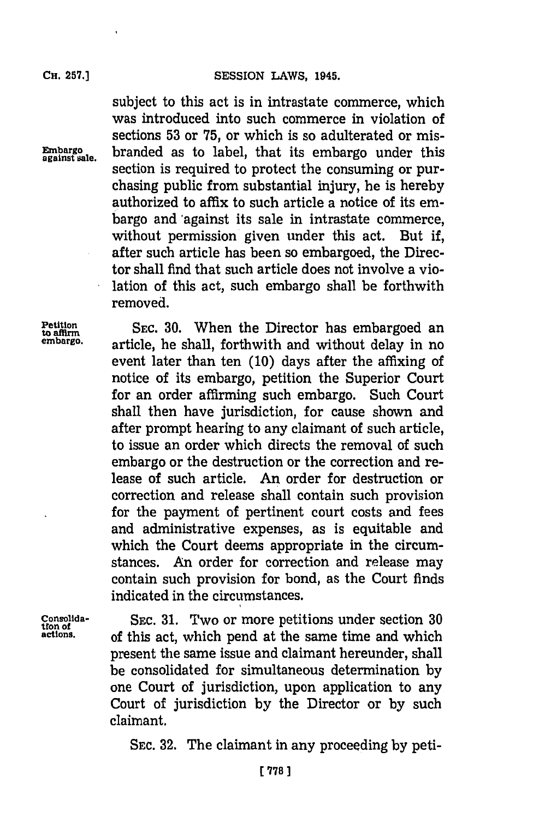subject to this act is in intrastate commerce, which was introduced into such commerce in violation of sections **53** or **75,** or which is so adulterated or mis-**Embargo** branded as to label, that its embargo under this section is required to protect the consuming or purchasing public from substantial injury, he is hereby authorized to affix to such article a notice of its embargo and'against its sale in intrastate commerce, without permission given under this act. But if, after such article has been so embargoed, the Director shall find that such article does not involve a violation of this act, such embargo shall be forthwith removed.

**Petition**<br>to affirm SEC. 30. When the Director has embargoed an<br>embargo. **SEC.** 30. **When the Director has embarged** and exit allow in no. **embargo.** article, he shall, forthwith and without delay in no event later than ten **(10)** days after the affixing of notice of its embargo, petition the Superior Court for an order affirming such embargo. Such Court shall then have jurisdiction, for cause shown and after prompt hearing to any claimant of such article, to issue an order which directs the removal of such embargo or the destruction or the correction and release of such article. An order for destruction or correction and release shall contain such provision for the payment of pertinent court costs and fees and administrative expenses, as is equitable and which the Court deems appropriate in the circumstances. An order for correction and release may contain such provision for bond, as the Court finds indicated in the circumstances.

**Consolida- SEC. 31.** Two or more petitions under section **<sup>30</sup> tion of actions,** of this act, which pend at the same time and which present the same issue and claimant hereunder, shall be consolidated for simultaneous determination **by** one Court of jurisdiction, upon application to any Court of jurisdiction **by** the Director or **by** such claimant.

**SEC. 32.** The claimant in any proceeding **by** peti-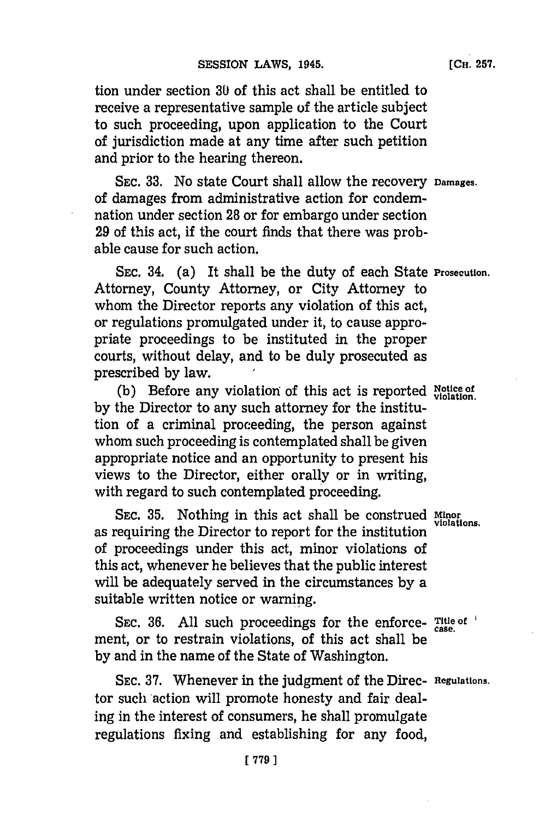**[CH. 257.**

tion under section **30** of this act shall be entitled to receive a representative sample of the article subject to such proceeding, upon application to the Court of jurisdiction made at any time after such petition and prior to the hearing thereon.

**SEC. 33.** No state Court shall allow the recovery **Damages.** of damages from administrative action for condemnation under section **28** or for embargo under section **29** of this act, if the court finds that there was probable cause for such action.

SEC. 34. (a) It shall be the duty of each State **Prosecution.** Attorney, County Attorney, or City Attorney to whom the Director reports any violation of this act, or regulations promulgated under it, to cause appropriate proceedings to be instituted in the proper courts, without delay, and to be duly prosecuted as prescribed **by** law. **I**

(b) Before any violation of this act is reported Notice of **by** the Director to any such attorney for the institution of a criminal proceeding, the person against whom such proceeding is contemplated shall be given appropriate notice and an opportunity to present his views to the Director, either orally or in writing, with regard to such contemplated proceeding.

**SEC. 35.** Nothing in this act shall be construed **Minor violations.** as requiring the Director to report for the institution of proceedings under this act, minor violations of this act, whenever he believes that the public interest will be adequately served in the circumstances **by** a suitable written notice or warning.

SEC. 36. All such proceedings for the enforce- Title of ment, or to restrain violations, of this act shall be **by** and in the name of the State of Washington.

**SEC. 37.** Whenever in the judgment of the Direc- **Regulations.** tor such action will promote honesty and fair dealing in the interest of consumers, he shall promulgate regulations fixing and establishing for any food,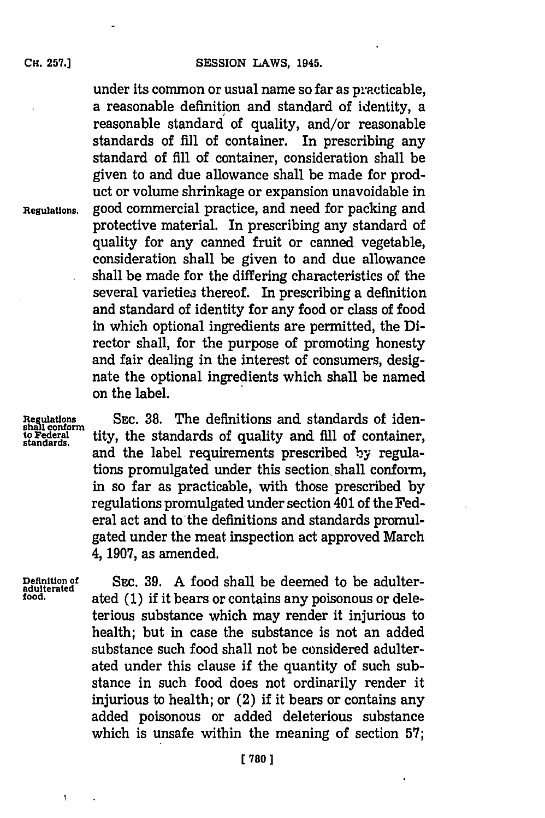under its common or usual name so far as practicable, a reasonable definition and standard of identity, a reasonable standard of quality, and/or reasonable standards of **fill** of container. In prescribing any standard of **fill** of container, consideration shall be given to and due allowance shall be made for product or volume shrinkage or expansion unavoidable in **Regulations,** good commercial practice, and need for packing and protective material. In prescribing any standard of quality for any canned fruit or canned vegetable, consideration shall be given to and due allowance shall be made for the differing characteristics of the several varieties thereof. In prescribing a definition and standard of identity for any food or class of food in which optional ingredients are permitted, the **Di**rector shall, for the purpose of promoting honesty and fair dealing in the interest of consumers, designate the optional ingredients which shall be named on the label.

Regulations SEC. 38. The definitions and standards of iden-<br>the logic conform<br>standards. tity, the standards of quality and fill of container, **to Federal** tity, the standards of quality and **fill** of container, **standards.** and the label requirements prescribed **by** regulations promulgated under this section shall conform, in so far as practicable, with those prescribed **by** regulations promulgated under section 401 of the Federal act and to the definitions and standards promulgated under the meat inspection act approved March 4, **1907,** as amended.

 $\mathbf{I}$ 

**Definition of SEC. 39.** A food shall be deemed to be adulter-<br>
adulterated **b** adoption of the **adults** is it hence an equipment property on dolor **food.** ated **(1)** if it bears or contains any poisonous or deleterious substance which may render it injurious to health; but in case the substance is not an added substance such food shall not be considered adulterated under this clause if the quantity of such substance in such food does not ordinarily render it injurious to health; or (2) if it bears or contains any added poisonous or added deleterious substance which is unsafe within the meaning of section **57;**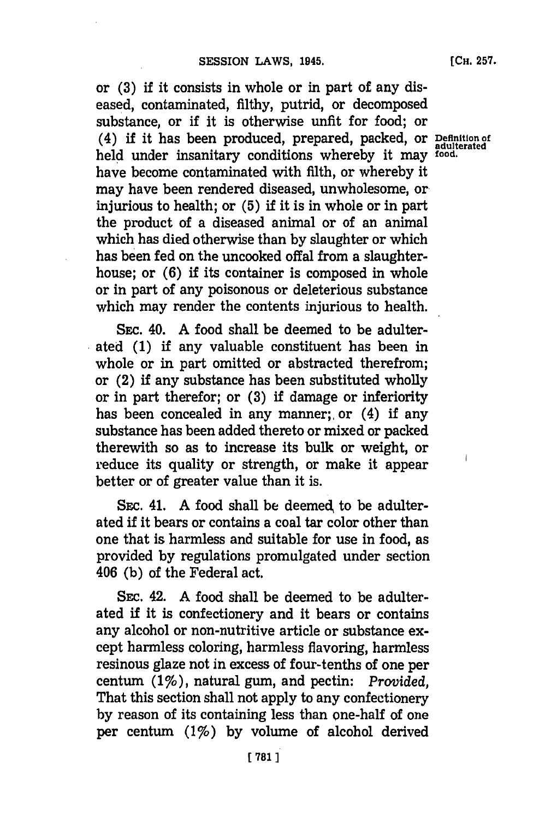or **(3)** if it consists in whole or in part of any diseased, contaminated, filthy, putrid, or decomposed substance, or if it is otherwise unfit for food; or (4) if it has been produced, prepared, packed, or **Definition of adulterated** held under insanitary conditions whereby it may **food.** have become contaminated with filth, or whereby it may have been rendered diseased, unwholesome, or. injurious to health; or **(5)** if it is in whole or in part the product of a diseased animal or of an animal which has died otherwise than **by** slaughter or which has been fed on the uncooked offal from a slaughterhouse; or **(6)** if its container is composed in whole or in part of any poisonous or deleterious substance which may render the contents injurious to health.

Ssc. 40. **A** food shall be deemed to be adulterated **(1)** if any valuable constituent has been in whole or in part omitted or abstracted therefrom; or (2) if any substance has been substituted wholly or in part therefor; or **(3)** if damage or inferiority has been concealed in any manner; or (4) if any substance has been added thereto or mixed or packed therewith so as to increase its bulk or weight, or reduce its quality or strength, or make it appear better or of greater value than it is.

**SEc.** 41. **A** food shall be deemed, to be adulterated if it bears or contains a coal tar color other than one that is harmless and suitable for use in food, as provided **by** regulations promulgated under section 406 **(b)** of the Federal act.

**SEc.** 42. **A** food shall be deemed to be adulterated if it is confectionery and it bears or contains any alcohol or non-nutritive article or substance except harmless coloring, harmless flavoring, harmless resinous glaze not in excess of four-tenths of one per centum. (17o), natural gum, and pectin: *Provided,* That this section shall not apply to any confectionery **by** reason of its containing less than one-half of one per centum (1%) by volume of alcohol derived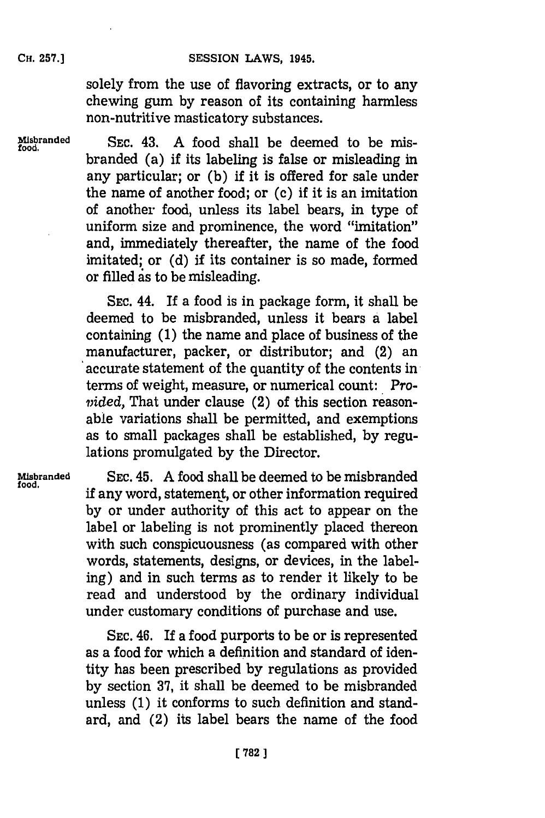solely from the use of flavoring extracts, or to any chewing gum **by** reason of its containing harmless non-nutritive masticatory substances.

**Misbranded SEC.** 43. **A** food shall be deemed to be mis- **food.** branded (a) if its labeling is false or misleading in any particular; or **(b)** if it is offered for sale under the name of another food; or  $(c)$  if it is an imitation of another food, unless its label bears, in type of uniform size and prominence, the word "imitation" and, immediately thereafter, the name of the food imitated; or **(d)** if its container is so made, formed or filled is to be misleading.

> **SEC.** 44. If a food is in package form, it shall be deemed to be misbranded, unless it bears a label containing **(1)** the name and place of business of the manufacturer, packer, or distributor; and (2) an accurate statement of the quantity of the contents in, terms of weight, measure, or numerical count: *Provided,* That under clause (2) of this section reasonable variations shall be permitted, and exemptions as to small packages shall be established, **by** regulations promulgated **by** the Director.

**Misbranded** SEC. 45. **A** food shall be deemed to be misbranded if any word, statement, or other information required **by** or under authority of this act to appear on the label or labeling is not prominently placed thereon with such conspicuousness (as compared with other words, statements, designs, or devices, in the labeling) and in such terms as to render it likely to be read and understood **by** the ordinary individual under customary conditions of purchase and use.

> **SEC.** 46. If a food purports to be or is represented as a food for which a definition and standard of identity has been prescribed **by** regulations as provided **by** section **37,** it shall be deemed to be misbranded unless **(1)** it conforms to such definition and standard, and (2) its label bears the name of the food

**CH. 257.]**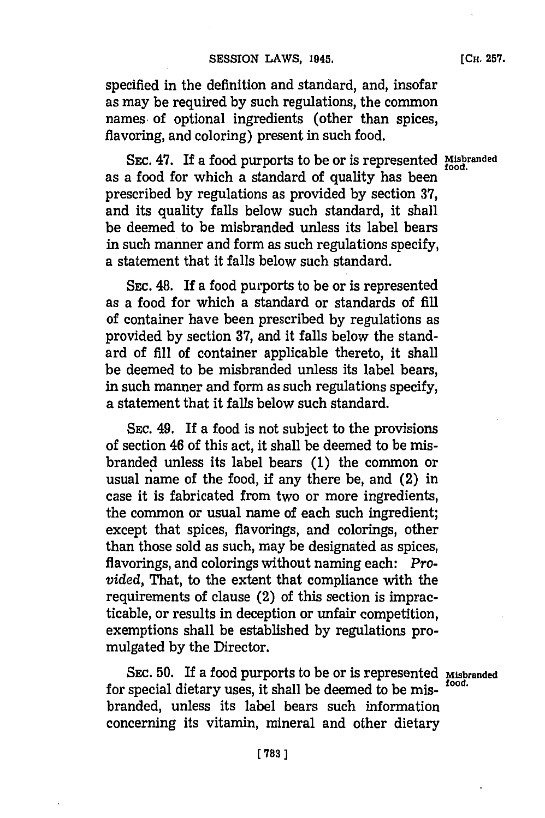specified in the definition and standard, and, insofar as may be required **by** such regulations, the common names of optional ingredients (other than spices, flavoring, and coloring) present in such food.

**SEc.** 47. If a food purports to be or is represented **Misbranded** as a food for which a standard of quality has been prescribed **by** regulations as provided **by** section **37,** and its quality falls below such standard, it shall be deemed to be misbranded unless its label bears in such manner and form as such regulations specify, a statement that it falls below such standard.

SEc. 48. If a food purports to be or is represented as a food for which a standard or standards of **fill** of container have been prescribed **by** regulations as provided **by** section **37,** and it falls below the standard of **fill** of container applicable thereto, it shall be deemed to be misbranded unless its label bears, in such manner and form as such regulations specify, a statement that it falls below such standard.

**SEc.** 49. If a food is not subject to the provisions of section 46 of this act, it shall be deemed to be misbranded unless its label bears **(1)** the common or usual name of the food, if any there be, and (2) in case it is fabricated from two or more ingredients, the common or usual name of each such ingredient; except that spices, flavorings, and colorings, other than those sold as such, may be designated as spices, flavorings, and colorings without naming each: *Provided,* That, to the extent that compliance with the requirements of clause (2) of this section is impracticable, or results in deception or unfair competition, exemptions shall be established **by** regulations promulgated **by** the Director.

SEc. **50.** If a food purports to be or is represented **Misbranded** for special dietary uses, it shall be deemed to be misbranded, unless its label bears such information concerning its vitamin, mineral and other dietary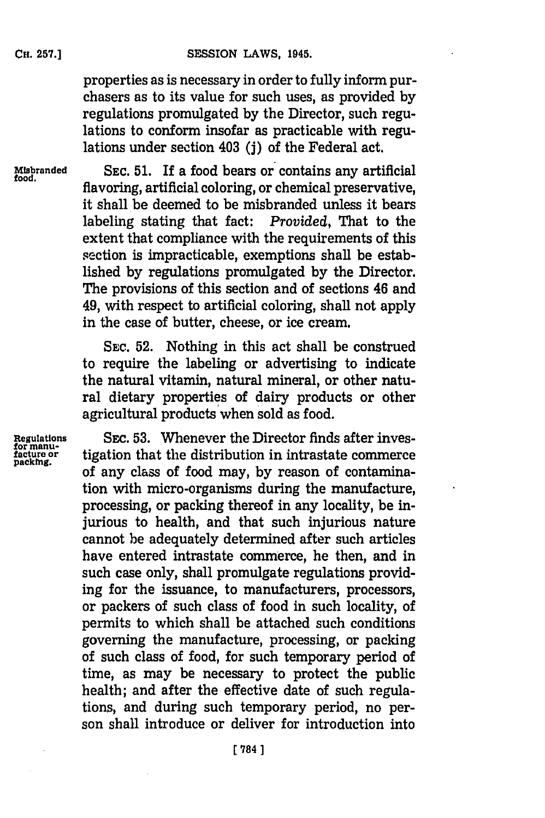properties as is necessary in order to fully inform purchasers as to its value for such uses, as provided **by** regulations promulgated **by** the Director, such regulations to conform insofar as practicable with regulations under section 403 **(j)** of the Federal act.

**Misbranded SEC. 51.** If a food bears or contains any artificial **food.** flavoring, artificial coloring, or chemical preservative, it shall be deemed to be misbranded unless it bears labeling stating that fact: *Provided,* That to the extent that compliance with the requirements of this section is impracticable, exemptions shall be established **by** regulations promulgated **by** the Director. The provisions of this section and of sections 46 and 49, with respect to artificial coloring, shall not apply in the case of butter, cheese, or ice cream.

> SEC. **52.** Nothing in this act shall be construed to require the labeling or advertising to indicate the natural vitamin, natural mineral, or other natural dietary properties of dairy products or other agricultural products when sold as food.

Regulations SEC. 53. Whenever the Director finds after investor manu-<br>facture or tigation that the distribution in intrastate commerce<br>of any class of food may, by reason of contamination with micro-organisms during the manufacture, processing, or packing thereof in any locality, be injurious to health, and that such injurious nature cannot be adequately determined after such articles have entered intrastate commerce, he then, and in such case only, shall promulgate regulations providing for the issuance, to manufacturers, processors, or packers of such class of food in such locality, of permits to which shall be attached such conditions governing the manufacture, processing, or packing of such class of food, for such temporary period of time, as may be necessary to protect the public health; and after the effective date of such regulations, and during such temporary period, no person shall introduce or deliver for introduction into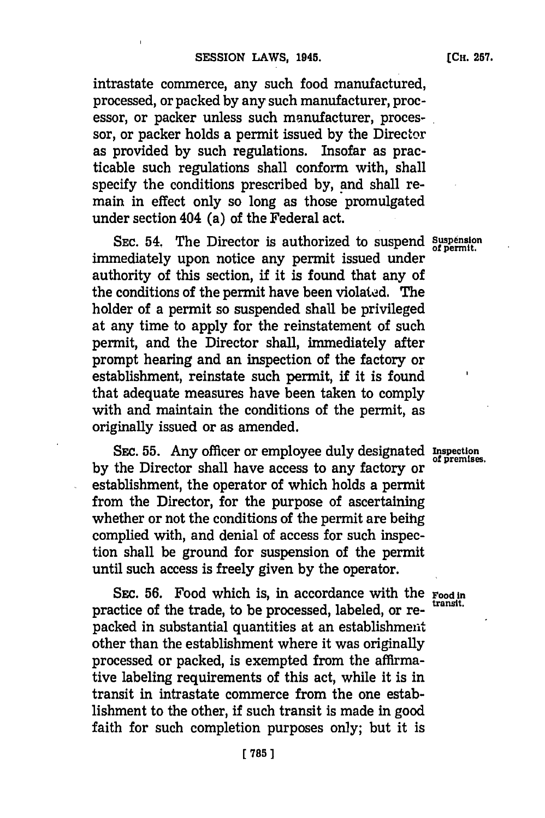intrastate commerce, any such food manufactured, processed, or packed **by** any such manufacturer, processor, or packer unless such manufacturer, processor, or packer holds a permit issued by the Director as provided **by** such regulations. Insofar as practicable such regulations shall conform with, shall specify the conditions prescribed **by,** and shall remain in effect only so long as those promulgated under section 404 (a) of the Federal act.

SEC. 54. The Director is authorized to suspend Suspension immediately upon notice any permit issued under authority of this section, if it is found that any of the conditions of the permit have been violated. The holder of a permit so suspended shall be privileged at any time to apply for the reinstatement of such permit, and the Director shall, immediately after prompt hearing and an inspection of the factory or establishment, reinstate such permit, if it is found that adequate measures have been taken to comply with and maintain the conditions of the permit, as originally issued or as amended.

SEC. 55. Any officer or employee duly designated Inspection of premises. by the Director shall have access to any factory or establishment, the operator of which holds a permit from the Director, for the purpose of ascertaining whether or not the conditions of the permit are beihg complied with, and denial of access for such inspection shall be ground for suspension of the permit until such access is freely given **by** the operator.

SEC. 56. Food which is, in accordance with the Food in transit. practice of the trade, to be processed, labeled, or repacked in substantial quantities at an establishment other than the establishment where it was originally processed or packed, is exempted from the affirmative labeling requirements of this act, while it is in transit in intrastate commerce from the one establishment to the other, if such transit is made in good faith for such completion purposes only; but it is

of permit.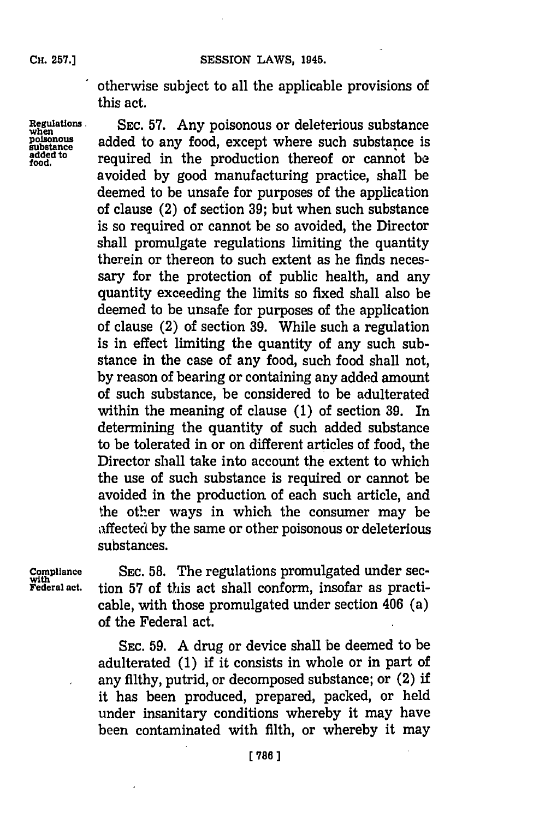otherwise subject to all the applicable provisions of this act.

**added to**<br>food

Regulations SEC. 57. Any poisonous or deleterious substance poisonous added to any food, except where such substance is added to any food, except where such substance is required in the production thereof or cannot be avoided **by** good manufacturing practice, shall be deemed to be unsafe for purposes of the application of clause (2) of section **39;** but when such substance is so required or cannot be so avoided, the Director shall promulgate regulations limiting the quantity therein or thereon to such extent as he finds necessary for the protection of public health, and any quantity exceeding the limits so fixed shall also be deemed to be unsafe for purposes of the application of clause (2) of section **39.** While such a regulation is in effect limiting the quantity of any such substance in the case of any food, such food shall not, **by** reason of bearing or containing any added amount of such substance, be considered to be adulterated within the meaning of clause **(1)** of section **39.** In determining the quantity of such added substance to be tolerated in or on different articles of food, the Director shall take into account the extent to which the use of such substance is required or cannot be avoided in the production of each such article, and the other ways in which the consumer may be affected **by** the same or other poisonous or deleterious substances.

**Compliance** SEC. 58. The regulations promulgated under sec-<br>with rederal act. tion 57 of this act shall conform, insofar as practi-**Federal act.** tion **57** of this act shall conform, insofar as practicable, with those promulgated under section 406 (a) of the Federal act.

> **SEC. 59. A** drug or device shall be deemed to be adulterated **(1)** if it consists in whole or in part of any filthy, putrid, or decomposed substance; or (2) if it has been produced, prepared, packed, or held under insanitary conditions whereby it may have been contaminated with filth, or whereby it may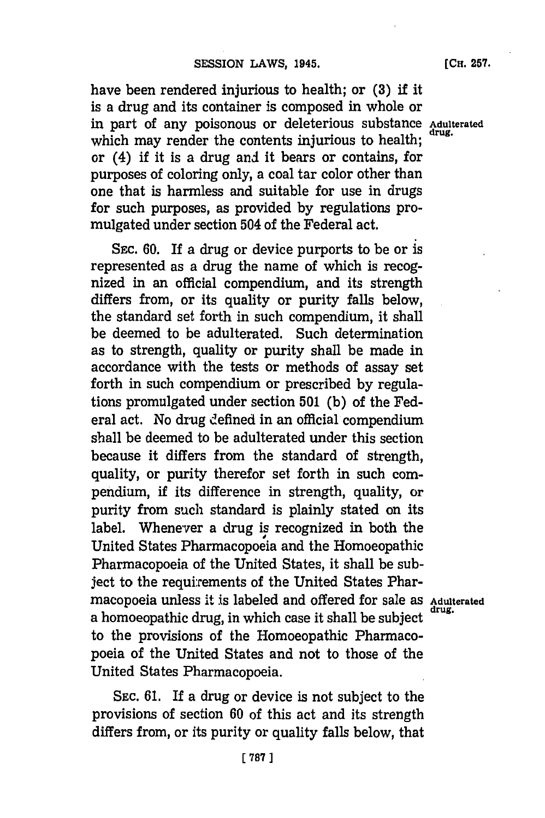**[ 787]1**

**SEc. 61.** If a drug or device is not subject to the provisions of section **60** of this act and its strength differs from, or its purity or quality falls below, that

have been rendered injurious to health; or **(3)** if it is a drug and its container is composed in whole or in part of any poisonous or deleterious substance **Adulterated** which may render the contents injurious to health; or (4) if it is a drug and it bears or contains, for purposes of coloring only, a coal tar color other than one that is harmless and suitable for use in drugs for such purposes, as provided **by** regulations promulgated under section 504 of the Federal act.

**SEC. 60.** If a drug or device purports to be or **is** represented as a drug the name of which is recognized in an official compendium, and its strength differs from, or its quality or purity falls below, the standard set forth in such compendium, it shall be deemed to be adulterated. Such determination as to strength, quality or purity shall be made in accordance with the tests or methods of assay set forth in such compendium or prescribed **by** regulations promulgated under section **501 (b)** of the Federal act. No drug defined in an official compendium shall be deemed to be adulterated under this section because it differs from the standard of strength, quality, or purity therefor set forth in such compendium, if its difference in strength, quality, or purity from such standard is plainly stated on its label. Whenever a drug is recognized in both the United States Pharmacopoeia and the Homoeopathic Pharmacopoeia of the United States, it shall be subject to the requirements of the United States Pharmacopoeia unless it is labeled and offered for sale as **Adulterated** a homoeopathic drug, in which case it shall be subject **drug.** to the provisions of the Homoeopathic Pharmacopoeia of the United States and not to those of the United States Pharmacopoeia.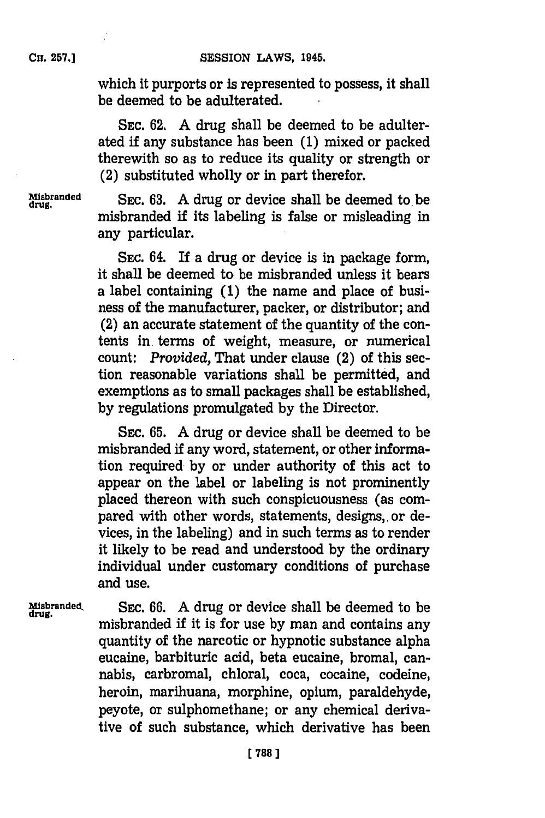which it purports or is represented to possess, it shall be deemed to be adulterated.

**SEC. 62. A** drug shall be deemed to be adulterated if any substance has been **(1)** mixed or packed therewith so as to reduce its quality or strength or  $(2)$  substituted wholly or in part therefor.

Misbranded SEC. 63. A drug or device shall be deemed to begins. misbranded if its labeling is false or misleading in any particular.

> **SEC.** 64. If a drug or device is in package form, it shall be deemed to be misbranded unless it bears a label containing **(1)** the name and place of business of the manufacturer, packer, or distributor; and (2) an accurate statement of the quantity of the contents in, terms of weight, measure, or numerical count: *Provided,* That under clause (2) of this section reasonable variations shall be permitted, and exemptions as to small packages shall be established, **by** regulations promulgated **by** the Director.

> SEC. **65. A** drug or device shall be deemed to be misbranded **if** any word, statement, or other information required **by** or under authority of this act to appear on the label or labeling is not prominently placed thereon with such conspicuousness (as compared with other words, statements, designs, or devices, in the labeling) and in such terms as to render it likely to be read and understood **by** the ordinary individual under customary conditions of purchase and use.

**Misranded,** SEC. **66. A** drug or device shall be deemed to be misbranded if it is for use by man and contains any quantity of the narcotic or hypnotic substance alpha eucaine, barbituric acid, beta eucaine, bromal, cannabis, carbromal, chloral, coca, cocaine, codeine, heroin, marihuana, morphine, opium, paraldehyde, peyote, or sulphomethane; or any chemical derivative of such substance, which derivative has been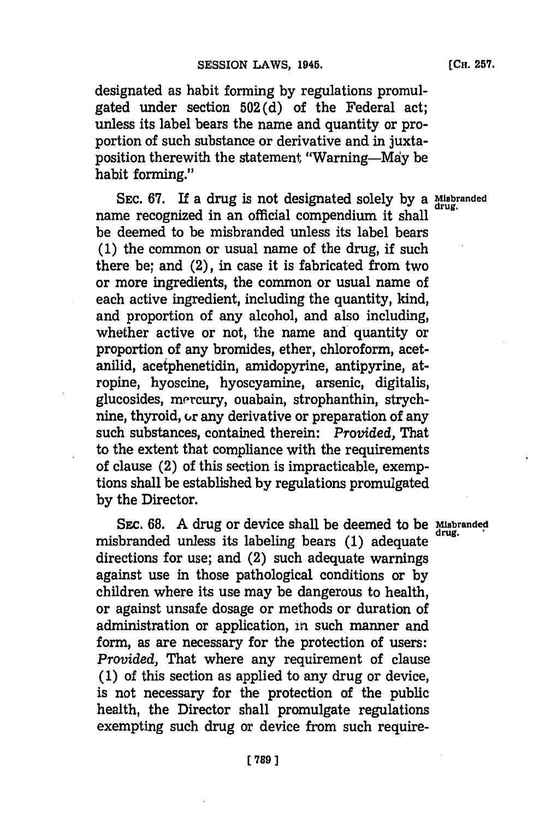designated as habit forming **by** regulations promulgated under section 502 **(d)** of the Federal act; unless its label bears the name and quantity or proportion of such substance or derivative and in juxtaposition therewith the statement "Warning-Mdy be habit forming."

**SEC. 67.** If a drug is not designated solely **by** a **Misbranded** name recognized in an official compendium it shall **drug.** be deemed to be misbranded unless its label bears **(1)** the common or usual name of the drug, if such there be; and (2), in case it is fabricated from two or more ingredients, the common or usual name of each active ingredient, including the quantity, kind, and proportion of any alcohol, and also including, whether active or not, the name and quantity or proportion of any bromides, ether, chloroform, acetanilid, acetphenetidin, amidopyrine, antipyrine, atropine, hyoscine, hyoscyamine, arsenic, digitalis, glucosides, mercury, ouabain, strophanthin, strychnine, thyroid,  $\sigma$  any derivative or preparation of any such substances, contained therein: *Provided,* That to the extent that compliance with the requirements of clause (2) of this section is impracticable, exemptions shall be established **by** regulations promulgated **by** the Director.

SEC. **68. A** drug or device shall be deemed to be **Misbranded** misbranded unless its labeling bears **(1)** adequate **drug.** directions for use; and (2) such adequate warnings against use in those pathological conditions or **by** children where its use may be dangerous to health, or against unsafe dosage or methods or duration of administration or application, in such manner and form, as are necessary for the protection of users: *Provided,* That where any requirement of clause **(1)** of this section as applied to any drug or device, is not necessary for the protection of the public health, the Director shall promulgate regulations exempting such drug or device from such require-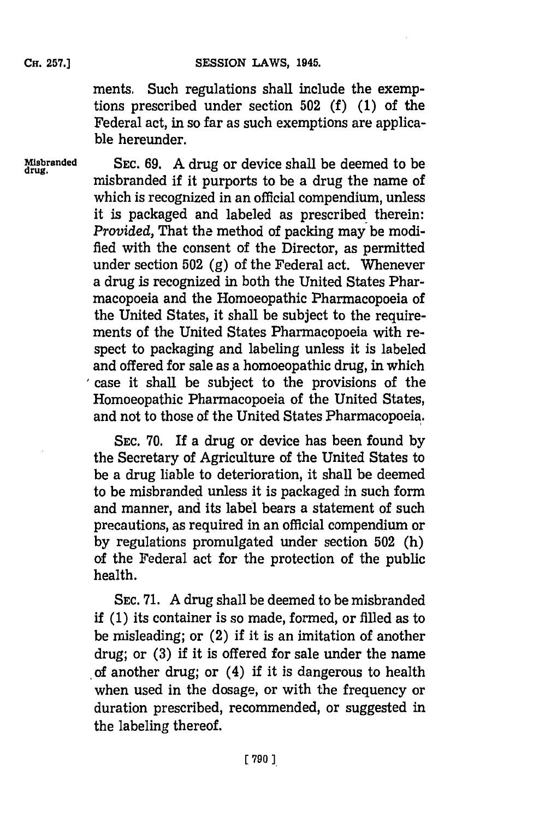ments. Such regulations shall include the exemptions prescribed under section **502 (f) (1)** of the Federal act, in so far as such exemptions are applicable hereunder.

**Misbranded SEC. 69. A** drug or device shall be deemed to be misbranded if it purports to be a drug the name of which is recognized in an official compendium, unless it is packaged and labeled as prescribed therein: *Provided,* That the method of packing may be modified with the consent of the Director, as permitted under section **502 (g)** of the Federal act. Whenever a drug is recognized in both the United States Pharmacopoeia and the Homoeopathic Pharmacopoeia of the United States, it shall be subject to the requirements of the United States Pharmacopoeia with respect to packaging and labeling unless it is labeled and offered for sale as a homoeopathic drug, in which case it shall. be subject to the provisions of the Homoeopathic Pharmacopoeia of the United States, and not to those of the United States Pharmacopoeia **'.**

> **SEC. 70. If** a drug or device has been found **by** the Secretary of Agriculture of the United States to be a drug liable to deterioration, it shall be deemed to be misbranded unless it is packaged in such form and manner, and its label bears a statement of such precautions, as required in an official compendium or **by** regulations promulgated under section **502** (h) of the Federal act for the protection of the public health.

> **SEC. 71. A** drug shall be deemed to be misbranded if **(1)** its container is so made, formed, or filled as to be misleading; or (2) if it is an imitation of another drug; or **(3)** if it is offered for sale under the name of another drug; or (4) if it is dangerous to health when used in the dosage, or with the frequency or duration prescribed, recommended, or suggested in the labeling thereof.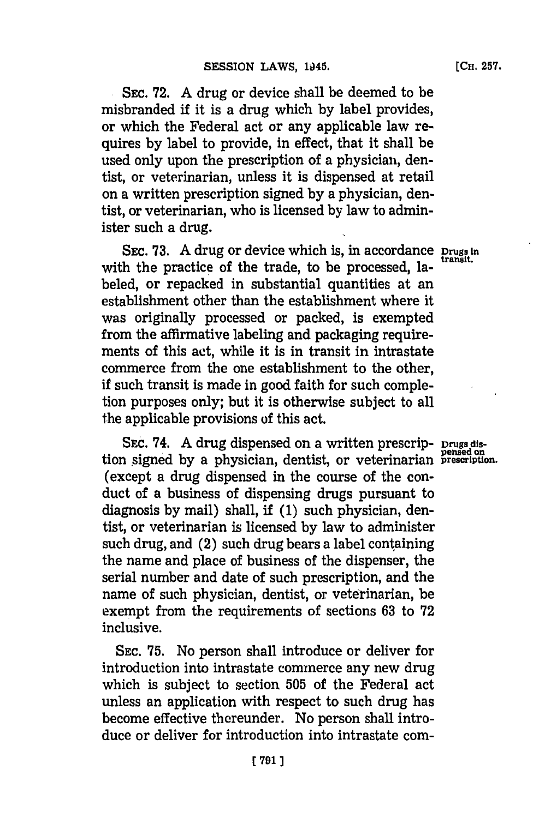SEC. 72. A drug or device shall be deemed to be misbranded if it is a drug which **by** label provides, or which the Federal act or any applicable law requires **by** label to provide, in effect, that it shall be

used only upon the prescription of a physician, dentist, or veterinarian, unless it is dispensed at retail on a written prescription signed **by** a physician, dentist, or veterinarian, who is licensed **by** law to administer such a drug.

**SEC. 73.** A drug or device which is, in accordance prugs in with the practice of the trade, to be processed, labeled, or repacked in substantial quantities at an establishment other than the establishment where it was originally processed or packed, is exempted from the affirmative labeling and packaging requirements of this act, while it is in transit in intrastate commerce from the one establishment to the other, if such transit is made in good faith for such completion purposes only; but it is otherwise subject to all the applicable provisions of this act.

SEc. 74. **A** drug dispensed on a written prescrip- **Drugs dis**tion signed **by** a physician, dentist, or veterinarian presription. (except a drug dispensed in the course of the conduct of a business of dispensing drugs pursuant to diagnosis **by** mail) shall, if **(1)** such physician, dentist, or veterinarian is licensed **by** law to administer such drug, and  $(2)$  such drug bears a label containing the name and place of business of the dispenser, the serial number and date of such prescription, and the name of such physician, dentist, or veterinarian, be exempt from the requirements of sections **63** to **72** inclusive.

**SEC. 75.** No person shall introduce or deliver for introduction into intrastate commerce any new drug which is subject to section **505** of the Federal act unless an application with respect to such drug has become effective thereunder. No person shall introduce or deliver for introduction into intrastate com-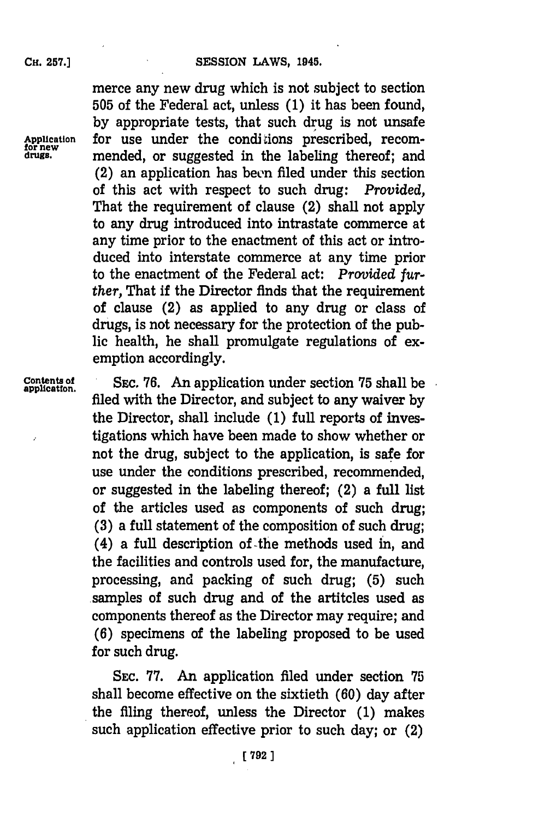**CH. 257.]**

merce any new drug which is not subject to section **505** of the Federal act, unless **(1)** it has been found, **by** appropriate tests, that such drug is not unsafe Application for use under the conditions prescribed, recom-<br>
drugs. **property** mended or suggested in the labeling thereof: and mended, or suggested in the labeling thereof; and  $(2)$  an application has been filed under this section of this act with respect to such drug: *Provided,* That the requirement of clause (2) shall not apply to any drug introduced into intrastate commerce at any time prior to the enactment of this act or introduced into interstate commerce at any time prior to the enactment of the Federal act: *Provided* further, That if the Director finds that the requirement of clause (2) as applied to any drug or class of drugs, is not necessary for the protection of the public health, he shall promulgate regulations of exemption accordingly.

**Contents of SEC. 76.** An application under section **75** shall be **applicatton.** filed with the Director, and subject to any waiver **by** the Director, shall include **(1)** full reports of investigations which have been made to show whether or not the drug, subject to the application, is safe for use under the conditions prescribed, recommended, or suggested in the labeling thereof; (2) a full list of the articles used as components of such drug; **(3)** a full statement of the composition of such drug; (4) a full description of -the methods used **in,** and the facilities and controls used for, the manufacture, processing, and packing of such drug; **(5)** such samples of such drug and of the artitcles used as components thereof as the Director may require; and **(6)** specimens of the labeling proposed to be used for such drug.

> SEC. **77.** An application filed under section **75** shall become effective on the sixtieth **(60)** day after the filing thereof, unless the Director **(1)** makes such application effective prior to such day; or (2)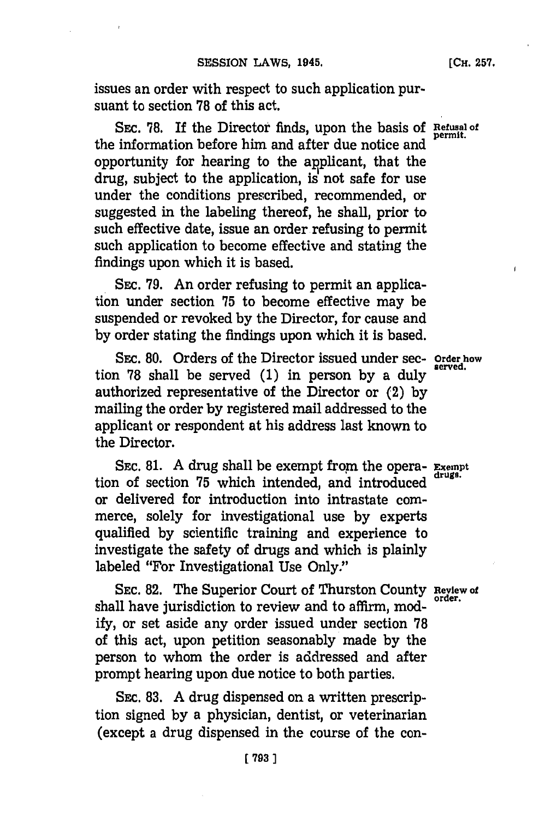issues an order with respect to such application pursuant to section **'78** of this act.

SEC. 78. If the Director finds, upon the basis of **Refusal of** permit. the information before him and after due notice and opportunity for hearing to the applicant, that the drug, subject to the application, is not safe for use under the conditions prescribed, recommended, or suggested in the labeling thereof, he shall, prior to such effective date, issue an order refusing to permit such application to become effective and stating the findings upon which it is based.

SEC. **79.** An order refusing to permit an application under section **75** to become effective may be suspended or revoked **by** the Director, for cause and **by** order stating the findings upon which it is based.

SEc. **80.** Orders of the Director issued under sec- **Order how** tion 78 shall be served (1) in person by a duly authorized representative of the Director or (2) **by** mailing the order **by** registered mail addressed to the applicant or respondent at his address last known to the Director.

**SEC. 81. A** drug shall be exempt from the opera- **Exempt** tion of section 75 which intended, and introduced or delivered for introduction into intrastate commerce, solely for investigational use **by** experts qualified **by** scientific training and experience to investigate the safety of drugs and which is plainly labeled "For Investigational Use Only."

**SEC. 82.** The Superior Court of Thurston County **Review of** shall have jurisdiction to review and to affirm, mod**ify,** or set aside any order issued under section **78** of this act, upon petition seasonably made **by** the person to whom the order is addressed and after prompt hearing upon due notice to both parties.

SEC. **83. A** drug dispensed on a written prescription signed **by** a physician, dentist, or veterinarian (except a drug dispensed in the course of the con-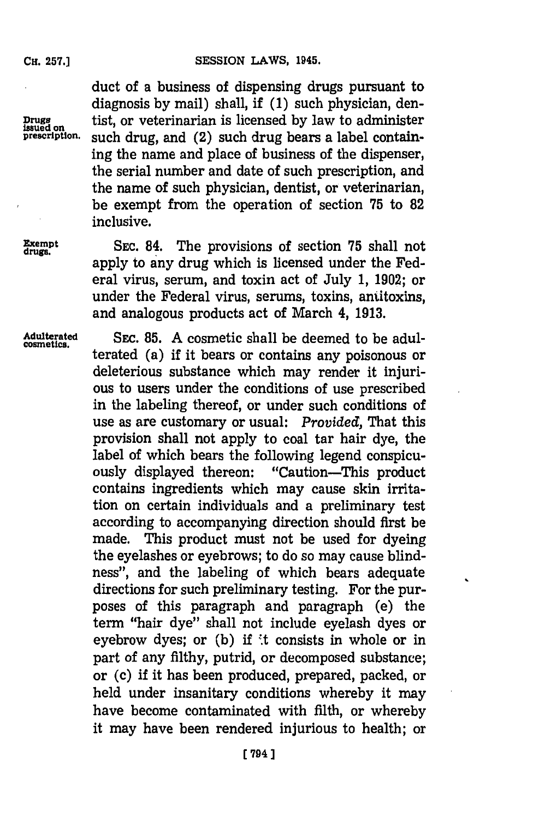duct of a business of dispensing drugs pursuant to diagnosis **by** mail) shall, if **(1)** such physician, den-Drugs tist, or veterinarian is licensed by law to administer<br>
prescription. such drug. and (2) such drug bears a label containsuch drug, and (2) such drug bears a label containing the name and place of business of the dispenser, the serial number and date of such prescription, and the name of such physician, dentist, or veterinarian, be exempt from the operation of section **'75** to **82** inclusive.

**Exempt** SEC. 84. The provisions of section 75 shall not apply to any drug which is licensed under the Federal virus, serum, and toxin act of July **1, 1902;** or under the Federal virus, serums, toxins, aniitoxins, and analogous products act of March 4, **1913.**

**Adulterated SEC. 85. A** cosmetic shall be deemed to be adul- **cosmetics.** terated (a) if it bears or contains any poisonous or deleterious substance which may render it injurious to users under the conditions of use prescribed in the labeling thereof, or under such conditions of use as are customary or usual: *Provided,* That this provision shall not apply to coal tar hair dye, the label of which bears the following legend conspicuously displayed thereon: "Caution-This product contains ingredients which may cause skin irritation on certain individuals and a preliminary test according to accompanying direction should first be made. This product must not be used for dyeing the eyelashes or eyebrows; to do so may cause blindness", and the labeling of which bears adequate directions for such preliminary testing. For the purposes of this paragraph and paragraph (e) the term "hair dye" shall not include eyelash dyes or eyebrow dyes; or (b) if it consists in whole or in part of any filthy, putrid, or decomposed substance; or (c) if it has been produced, prepared, packed, or held under insanitary conditions whereby it may have become contaminated with filth, or whereby it may have been rendered injurious to health; or

**CH. 257.]**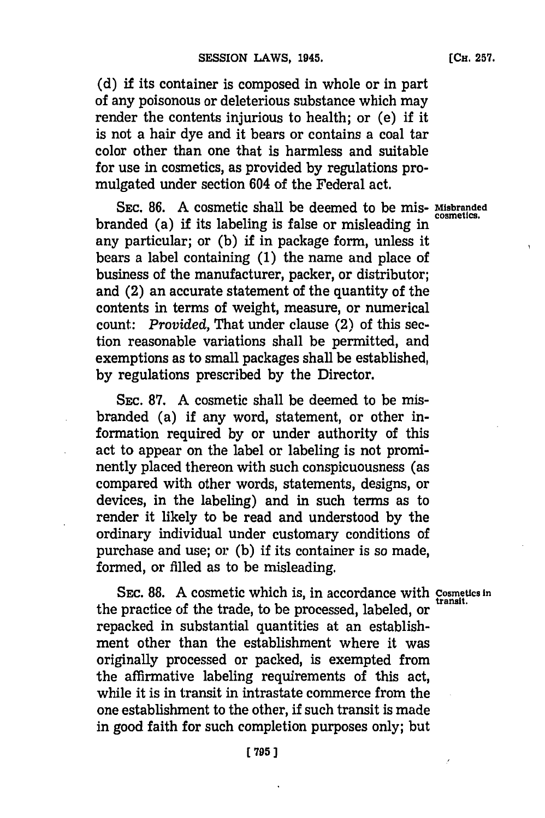**(d)** if its container is composed in whole or in part of any poisonous or deleterious substance which may render the contents injurious to health; or (e) if it is not a hair dye and it bears or contains a coal tar color other than one that is harmless and suitable for use in cosmetics, as provided **by** regulations promulgated under section 604 of the Federal act.

**SEC. 86. A** cosmetic shall be deemed to be mis- **Misbranded** branded (a) if its labeling is false or misleading in any particular; or **(b)** if in package form, unless it bears a label containing **(1)** the name and place of business of the manufacturer, packer, or distributor; and (2) an accurate statement of the quantity of the contents in terms of weight, measure, or numerical count: *Provided,* That under clause (2) of this section reasonable variations shall be permitted, and exemptions as to small packages shall be established, **by** regulations prescribed **by** the Director.

SEc. **87. A** cosmetic shall be deemed to be misbranded (a) if any word, statement, or other information required **by** or under authority of this act to appear on the label or labeling is not prominently placed thereon with such conspicuousness (as compared with other words, statements, designs, or devices, in the labeling) and in such terms as to render it likely to be read and understood **by** the ordinary individual under customary conditions of purchase and use; or **(b)** if its container is so made, formed, or filled as to be misleading.

SEC. 88. A cosmetic which is, in accordance with Cosmetics in the practice of the trade, to be processed, labeled, or repacked in substantial quantities at an establishment other than the establishment where it was originally processed or packed, is exempted from the affirmative labeling requirements of this act, while it is in transit in intrastate commerce from the one establishment to the other, if such transit is made in good faith for such completion purposes only; but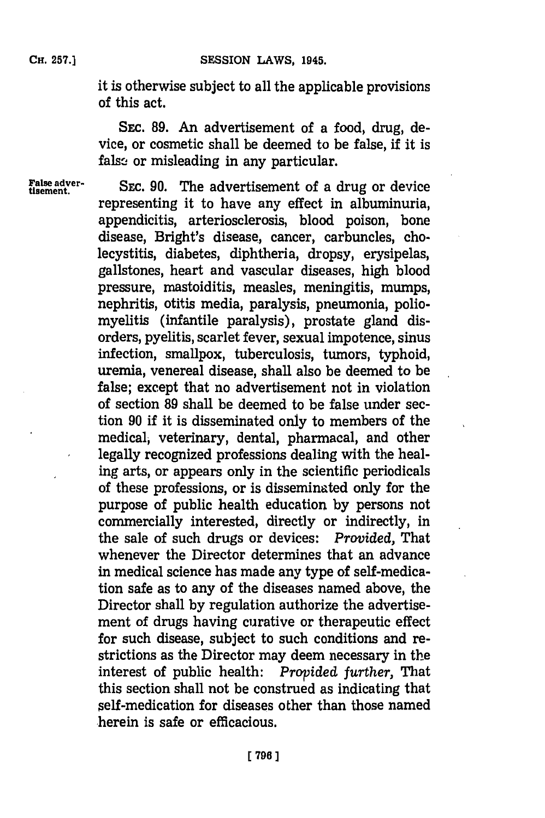it is otherwise subject to all the applicable provisions of this act.

SEc. **89.** An advertisement of a food, drug, device, or cosmetic shall be deemed to be false, if it is false or misleading in any particular.

**False adver-**<br> **Exabe adver-** SEC. 90. The advertisement of a drug or device representing it to have any effect in albuminuria, appendicitis, arteriosclerosis, blood poison, bone disease, Bright's disease., cancer, carbuncles, cholecystitis, diabetes, diphtheria, dropsy, erysipelas, gallstones, heart and vascular diseases, high blood pressure, mastoiditis, measles, meningitis, mumps, nephritis, otitis media, paralysis, pneumonia, poliomyelitis (infantile paralysis), prostate gland disorders, pyelitis, scarlet fever, sexual impotence, sinus infection, smallpox, tuberculosis, tumors, typhoid, uremia, venereal disease, shall also be deemed to be false; except that no advertisement not in violation of section **89** shall be deemed to be false under section **90** if it is disseminated only to members of the medical, veterinary, dental, pharmacal, and other legally recognized professions dealing with the healing arts, or appears only in the scientific periodicals of these professions, or is disseminated only for the purpose of public health education **by** persons not commercially interested, directly or indirectly, in the sale of such drugs or devices: *Provided,* That whenever the Director determines that an advance in medical science has made any type of self-medication safe as to any of the diseases named above, the Director shall **by** regulation authorize the advertisement of drugs having curative or therapeutic effect for such disease, subject to such conditions and restrictions as the Director may deem necessary in the interest of public health: Provided further, That this section shall not be construed as indicating that 5elf-medication for diseases other than those named -herein is safe or efficacious.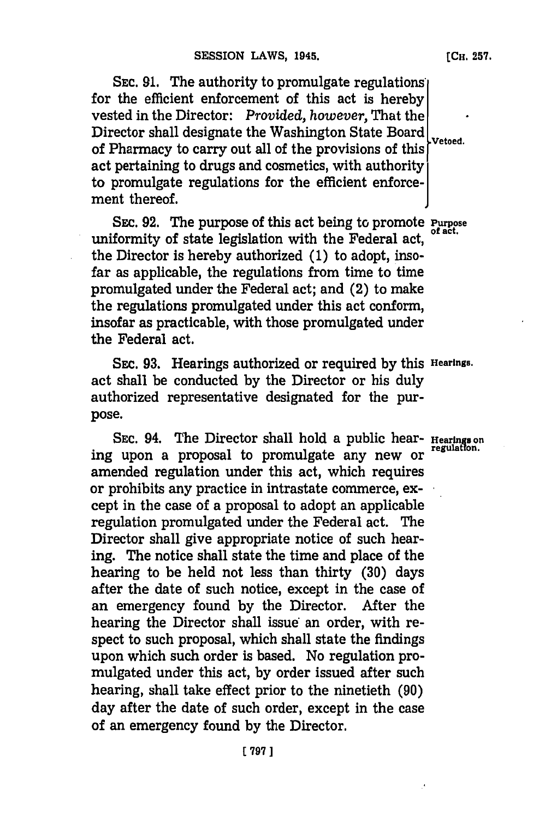**SEC. 91.** The authority to promulgate regulations' for the efficient enforcement of this act is hereby vested in the Director: *Provided, however,* That the Director shall designate the Washington State Board vetoed. of Pharmacy to carry out all of the provisions of this act pertaining to drugs and cosmetics, with authority to promulgate regulations for the efficient enforcement thereof.

**SEC. 92.** The purpose of this act being to promote **Purpose** uniformity of state legislation with the Federal act, the Director is hereby authorized **(1)** to adopt, insofar as applicable, the regulations from time to time promulgated under the Federal act; and (2) to make the regulations promulgated under this act conform, insofar as practicable, with those promulgated under the Federal act.

SEC. **93.** Hearings authorized or required **by** this **Hearings.** act shall be conducted **by** the Director or his duly authorized representative designated for the purpose.

SEC. 94. The Director shall hold a public hear- **Hearings** on regulation. ing upon a proposal to promulgate any new or amended regulation under this act, which requires or prohibits any practice in intrastate commerce, **except** in the case of a proposal to adopt an applicable regulation promulgated under the Federal act. The Director shall give appropriate notice of such hearing. The notice shall state the time and place of the hearing to be held not less than thirty **(30)** days after the date of such notice, except in the case of an emergency found **by** the Director. After the hearing the Director shall issue an order, with respect to such proposal, which shall state the findings upon which such order is based. No regulation promulgated under this act, **by** order issued after such hearing, shall take effect prior to the ninetieth **(90)** day after the date of such order, except in the case of an emergency found **by** the Director.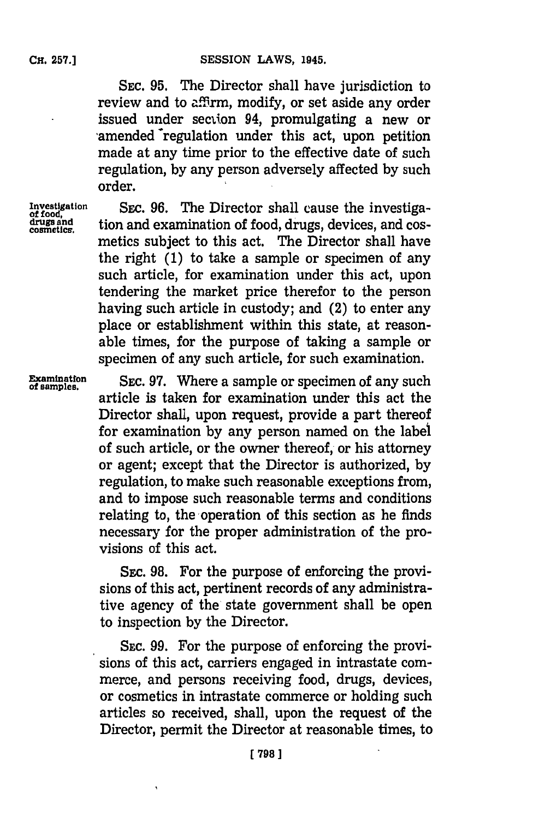**SEC. 95.** The Director shall have jurisdiction to review and to affirm, modify, or set aside any order issued under section 94, promulgating a new or 'amended 'regulation under this act, upon petition made at any time prior to the effective date of such regulation, **by** any person adversely affected **by** such order.

Investigation SEC. 96. The Director shall cause the investiga-<br>
drugs and tion and examination of food, drugs, devices, and cos-<br>
cosmetics. tion and examination of food, drugs, devices, and cosmetics subject to this act. The Director shall have the right **(1)** to take a sample or specimen of any such article, for examination under this act, upon tendering the market price therefor to the person having such article in custody; and (2) to enter any place or establishment within this state, at reasonable times, for the purpose of taking a sample or specimen of any such article, for such examination.

**Examination** SEC. 97. Where a sample or specimen of any such of samples. article is taken for examination under this act the Director shall, upon request, provide a part thereof for examination **by** any person named on the label of such article, or the owner thereof, or his attorney or agent; except that the Director is authorized, **by** regulation, to make such reasonable exceptions from, and to impose such reasonable terms and conditions relating to, the operation of this section as he finds necessary for the proper administration of the provisions of this act.

> SEc. **98.** For the purpose of enforcing the provisions of this act, pertinent records of any administrative agency of the state government shall be open to inspection **by** the Director.

> **SEC. 99.** For the purpose of enforcing the provisions of this act, carriers engaged in intrastate commerce, and persons receiving food, drugs, devices, or cosmetics in intrastate commerce or holding such articles so received, shall, upon the request of the Director, permit the Director at reasonable times, to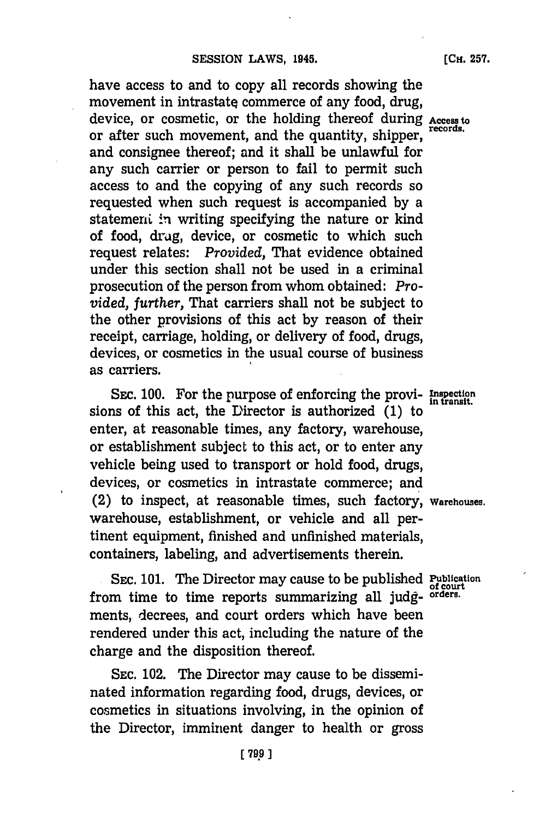have access to and to copy all records showing the movement in intrastate commerce of any food, drug, device, or cosmetic, or the holding thereof during **Access to** or after such movement, and the quantity, shipper, and consignee thereof; and it shall be unlawful for any such carrier or person to fail to permit such access to and the copying of any such records so requested when such request is accompanied **by** a statement in writing specifying the nature or kind of food, drug, device, or cosmetic to which such request relates: *Provided,* That evidence obtained under this section shall not be used in a criminal prosecution of the person from whom obtained: *Pro-*

*vided, further,* That carriers shall not be subject to the other provisions of this act **by** reason of their receipt, carriage, holding, or delivery of food, drugs, devices, or cosmetics in the usual course of business as carriers.

SEC. 100. For the purpose of enforcing the provi- Inspection sions of this act, the Director is authorized **(1)** to enter, at reasonable times, any factory, warehouse, or establishment subject to this act, or to enter any vehicle being used to transport or hold food, drugs, devices, or cosmetics in intrastate commerce; and (2) to inspect, at reasonable times, such factory, **Warehouses.** warehouse, establishment, or vehicle and all pertinent equipment, finished and unfinished materials, containers, labeling, and advertisements therein.

SEC. 101. The Director may cause to be published Publication from time to time reports summarizing all **judg- orders.** ments, decrees, and court orders which have been rendered under this act, including the nature of the charge and the disposition thereof.

**SEC.** 102. The Director may cause to be disseminated information regarding food, drugs, devices, or cosmetics in situations involving, in the opinion of the Director, imminent danger to health or gross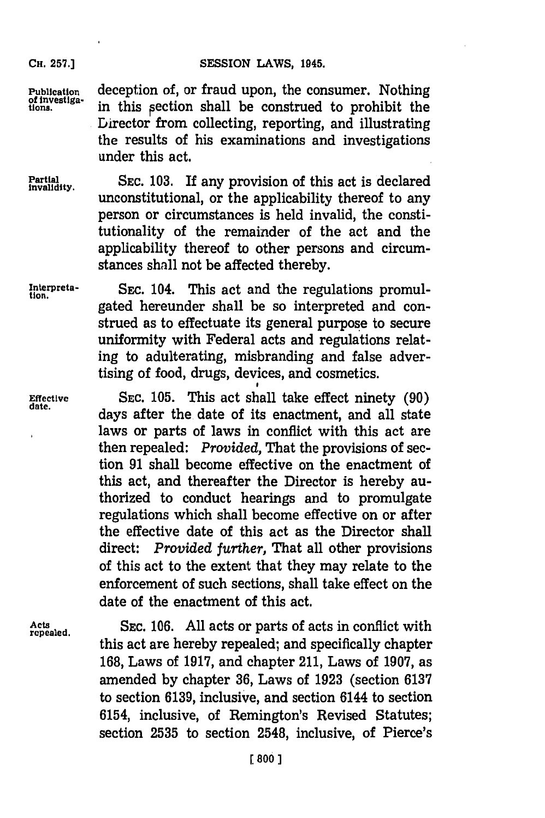**CH. 257.]**

**Publication** deception of, or fraud upon, the consumer. Nothing of investiga-<br>tions, in this section shall be construed to prohibit the in this section shall be construed to prohibit the Director from collecting, reporting, and illustrating the results of his examinations and investigations under this act.

**Partial** SEC. 103. If any provision of this act is declared unconstitutional, or the applicability thereof to any person or circumstances is held invalid, the constitutionality of the remainder of the act and the applicability thereof to other persons and circumstances shall not be affected thereby.

**Initerpreta-** SEC. 104. This act and the regulations promul- **tion.** gated hereunder shall be so interpreted and construed as to effectuate its general purpose to secure uniformity with Federal acts and regulations relating to adulterating, misbranding and false advertising of food, drugs, devices, and cosmetics.

Effective SEC. 105. This act shall take effect ninety (90) days after the date of its enactment, and all state laws or parts of laws in conflict with this act are then repealed: *Provided,* That the provisions of section **91** shall become effective on the enactment of this act, and thereafter the Director is hereby authorized to conduct hearings and to promulgate regulations which shall become effective on or after the effective date of this act as the Director shall direct: *Provided further,* That all other provisions of this act to the extent that they may relate to the enforcement of such sections, shall take effect on the date of the enactment of this act.

Acts **SEC.** 106. All acts or parts of acts in conflict with this act are hereby repealed; and specifically chapter **168,** Laws of **1917,** and chapter 211, Laws of **1907,** as amended **by** chapter **36,** Laws of **1923** (section **6137** to section **6139,** inclusive, and section 6144 to section 6154, inclusive, of Remington's Revised Statutes; section **2535** to section 2548, inclusive, of Pierce's